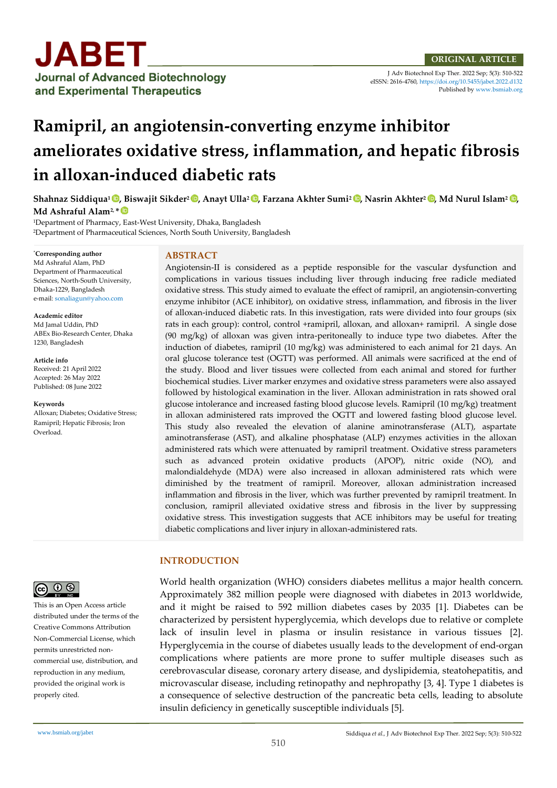

J Adv Biotechnol Exp Ther. 2022 Sep; 5(3): 510-522 eISSN: 2616-4760[, https://doi.org/10.5455/jabet.2022.d132](https://doi.org/10.5455/jabet.2022.d132)  Published b[y www.bsmiab.org](http://www.bsmiab.org/)

# **Ramipril, an angiotensin-converting enzyme inhibitor ameliorates oxidative stress, inflammation, and hepatic fibrosis in alloxan-induced diabetic rats**

**Shahnaz Siddiqua1 , Biswajit Sikder2 , Anayt Ulla2 , Farzana Akhter Sumi2 , Nasrin Akhter2 , Md Nurul Islam<sup>2</sup> , Md Ashraful Alam2, \***

<sup>1</sup>Department of Pharmacy, East-West University, Dhaka, Bangladesh <sup>2</sup>Department of Pharmaceutical Sciences, North South University, Bangladesh

\***Corresponding author** Md Ashraful Alam, PhD Department of Pharmaceutical Sciences, North-South University, Dhaka-1229, Bangladesh e-mail: [sonaliagun@yahoo.com](mailto:sonaliagun@yahoo.com)

**Academic editor**  Md Jamal Uddin, PhD ABEx Bio-Research Center, Dhaka 1230, Bangladesh

**Article info** Received: 21 April 2022 Accepted: 26 May 2022 Published: 08 June 2022

**Keywords** Alloxan; Diabetes; Oxidative Stress; Ramipril; Hepatic Fibrosis; Iron Overload.



This is an Open Access article distributed under the terms of the Creative Commons Attribution Non-Commercial License, which permits unrestricted noncommercial use, distribution, and reproduction in any medium, provided the original work is properly cited.

## **ABSTRACT**

Angiotensin-II is considered as a peptide responsible for the vascular dysfunction and complications in various tissues including liver through inducing free radicle mediated oxidative stress. This study aimed to evaluate the effect of ramipril, an angiotensin-converting enzyme inhibitor (ACE inhibitor), on oxidative stress, inflammation, and fibrosis in the liver of alloxan-induced diabetic rats. In this investigation, rats were divided into four groups (six rats in each group): control, control +ramipril, alloxan, and alloxan+ ramipril. A single dose (90 mg/kg) of alloxan was given intra-peritoneally to induce type two diabetes. After the induction of diabetes, ramipril (10 mg/kg) was administered to each animal for 21 days. An oral glucose tolerance test (OGTT) was performed. All animals were sacrificed at the end of the study. Blood and liver tissues were collected from each animal and stored for further biochemical studies. Liver marker enzymes and oxidative stress parameters were also assayed followed by histological examination in the liver. Alloxan administration in rats showed oral glucose intolerance and increased fasting blood glucose levels. Ramipril (10 mg/kg) treatment in alloxan administered rats improved the OGTT and lowered fasting blood glucose level. This study also revealed the elevation of alanine aminotransferase (ALT), aspartate aminotransferase (AST), and alkaline phosphatase (ALP) enzymes activities in the alloxan administered rats which were attenuated by ramipril treatment. Oxidative stress parameters such as advanced protein oxidative products (APOP), nitric oxide (NO), and malondialdehyde (MDA) were also increased in alloxan administered rats which were diminished by the treatment of ramipril. Moreover, alloxan administration increased inflammation and fibrosis in the liver, which was further prevented by ramipril treatment. In conclusion, ramipril alleviated oxidative stress and fibrosis in the liver by suppressing oxidative stress. This investigation suggests that ACE inhibitors may be useful for treating diabetic complications and liver injury in alloxan-administered rats.

## **INTRODUCTION**

World health organization (WHO) considers diabetes mellitus a major health concern. Approximately 382 million people were diagnosed with diabetes in 2013 worldwide, and it might be raised to 592 million diabetes cases by 2035 [1]. Diabetes can be characterized by persistent hyperglycemia, which develops due to relative or complete lack of insulin level in plasma or insulin resistance in various tissues [2]. Hyperglycemia in the course of diabetes usually leads to the development of end-organ complications where patients are more prone to suffer multiple diseases such as cerebrovascular disease, coronary artery disease, and dyslipidemia, steatohepatitis, and microvascular disease, including retinopathy and nephropathy [3, 4]. Type 1 diabetes is a consequence of selective destruction of the pancreatic beta cells, leading to absolute insulin deficiency in genetically susceptible individuals [5].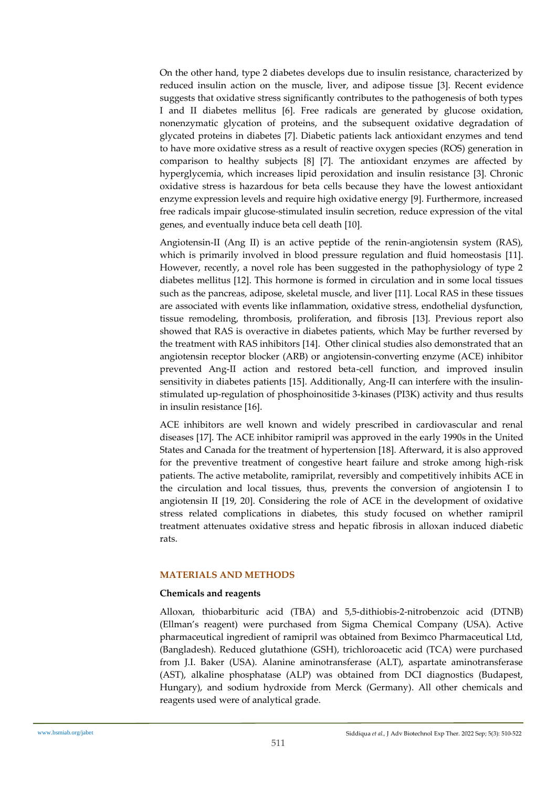On the other hand, type 2 diabetes develops due to insulin resistance, characterized by reduced insulin action on the muscle, liver, and adipose tissue [3]. Recent evidence suggests that oxidative stress significantly contributes to the pathogenesis of both types I and II diabetes mellitus [6]. Free radicals are generated by glucose oxidation, nonenzymatic glycation of proteins, and the subsequent oxidative degradation of glycated proteins in diabetes [7]. Diabetic patients lack antioxidant enzymes and tend to have more oxidative stress as a result of reactive oxygen species (ROS) generation in comparison to healthy subjects [8] [7]. The antioxidant enzymes are affected by hyperglycemia, which increases lipid peroxidation and insulin resistance [3]. Chronic oxidative stress is hazardous for beta cells because they have the lowest antioxidant enzyme expression levels and require high oxidative energy [9]. Furthermore, increased free radicals impair glucose-stimulated insulin secretion, reduce expression of the vital genes, and eventually induce beta cell death [10].

Angiotensin-II (Ang II) is an active peptide of the renin-angiotensin system (RAS), which is primarily involved in blood pressure regulation and fluid homeostasis [11]. However, recently, a novel role has been suggested in the pathophysiology of type 2 diabetes mellitus [12]. This hormone is formed in circulation and in some local tissues such as the pancreas, adipose, skeletal muscle, and liver [11]. Local RAS in these tissues are associated with events like inflammation, oxidative stress, endothelial dysfunction, tissue remodeling, thrombosis, proliferation, and fibrosis [13]. Previous report also showed that RAS is overactive in diabetes patients, which May be further reversed by the treatment with RAS inhibitors [14]. Other clinical studies also demonstrated that an angiotensin receptor blocker (ARB) or angiotensin-converting enzyme (ACE) inhibitor prevented Ang-II action and restored beta-cell function, and improved insulin sensitivity in diabetes patients [15]. Additionally, Ang-II can interfere with the insulinstimulated up-regulation of phosphoinositide 3-kinases (PI3K) activity and thus results in insulin resistance [16].

ACE inhibitors are well known and widely prescribed in cardiovascular and renal diseases [17]. The ACE inhibitor ramipril was approved in the early 1990s in the United States and Canada for the treatment of hypertension [18]. Afterward, it is also approved for the preventive treatment of congestive heart failure and stroke among high-risk patients. The active metabolite, ramiprilat, reversibly and competitively inhibits ACE in the circulation and local tissues, thus, prevents the conversion of angiotensin I to angiotensin II [19, 20]. Considering the role of ACE in the development of oxidative stress related complications in diabetes, this study focused on whether ramipril treatment attenuates oxidative stress and hepatic fibrosis in alloxan induced diabetic rats.

## **MATERIALS AND METHODS**

#### **Chemicals and reagents**

Alloxan, thiobarbituric acid (TBA) and 5,5-dithiobis-2-nitrobenzoic acid (DTNB) (Ellman's reagent) were purchased from Sigma Chemical Company (USA). Active pharmaceutical ingredient of ramipril was obtained from Beximco Pharmaceutical Ltd, (Bangladesh). Reduced glutathione (GSH), trichloroacetic acid (TCA) were purchased from J.I. Baker (USA). Alanine aminotransferase (ALT), aspartate aminotransferase (AST), alkaline phosphatase (ALP) was obtained from DCI diagnostics (Budapest, Hungary), and sodium hydroxide from Merck (Germany). All other chemicals and reagents used were of analytical grade.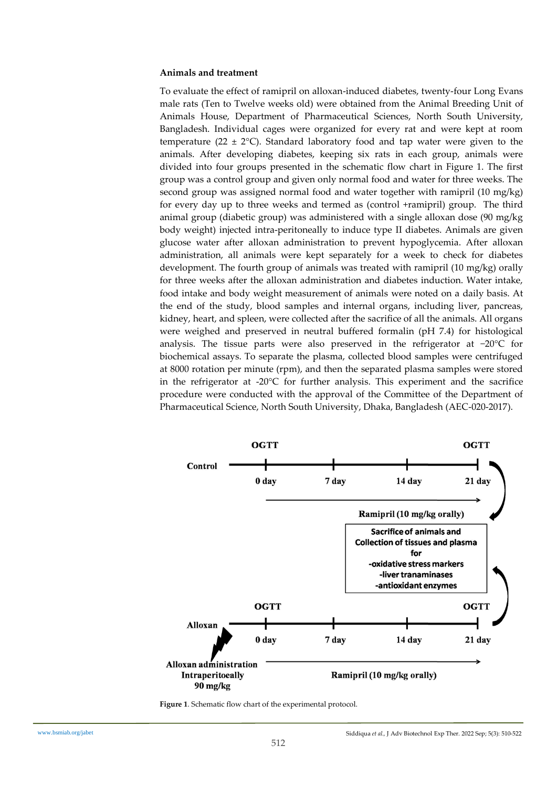#### **Animals and treatment**

To evaluate the effect of ramipril on alloxan-induced diabetes, twenty-four Long Evans male rats (Ten to Twelve weeks old) were obtained from the Animal Breeding Unit of Animals House, Department of Pharmaceutical Sciences, North South University, Bangladesh. Individual cages were organized for every rat and were kept at room temperature (22  $\pm$  2°C). Standard laboratory food and tap water were given to the animals. After developing diabetes, keeping six rats in each group, animals were divided into four groups presented in the schematic flow chart in Figure 1. The first group was a control group and given only normal food and water for three weeks. The second group was assigned normal food and water together with ramipril (10 mg/kg) for every day up to three weeks and termed as (control +ramipril) group. The third animal group (diabetic group) was administered with a single alloxan dose (90 mg/kg body weight) injected intra-peritoneally to induce type II diabetes. Animals are given glucose water after alloxan administration to prevent hypoglycemia. After alloxan administration, all animals were kept separately for a week to check for diabetes development. The fourth group of animals was treated with ramipril (10 mg/kg) orally for three weeks after the alloxan administration and diabetes induction. Water intake, food intake and body weight measurement of animals were noted on a daily basis. At the end of the study, blood samples and internal organs, including liver, pancreas, kidney, heart, and spleen, were collected after the sacrifice of all the animals. All organs were weighed and preserved in neutral buffered formalin (pH 7.4) for histological analysis. The tissue parts were also preserved in the refrigerator at −20°C for biochemical assays. To separate the plasma, collected blood samples were centrifuged at 8000 rotation per minute (rpm), and then the separated plasma samples were stored in the refrigerator at  $-20^{\circ}$ C for further analysis. This experiment and the sacrifice procedure were conducted with the approval of the Committee of the Department of Pharmaceutical Science, North South University, Dhaka, Bangladesh (AEC-020-2017).



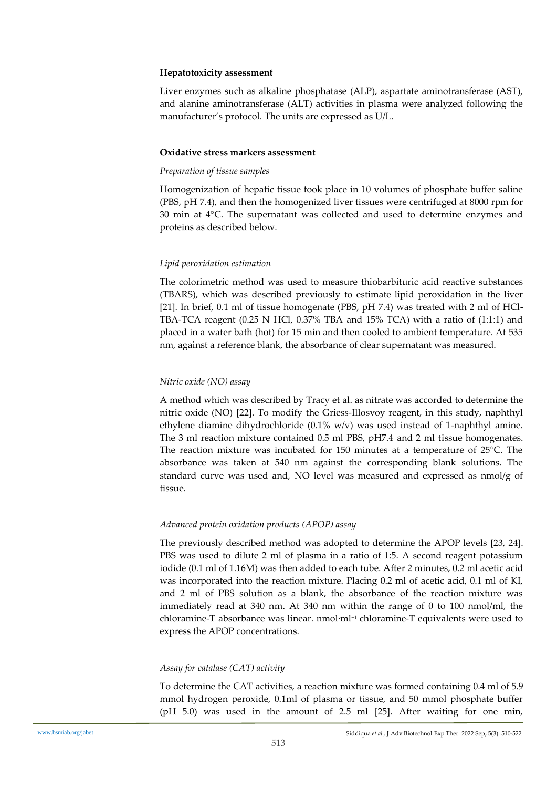## **Hepatotoxicity assessment**

Liver enzymes such as alkaline phosphatase (ALP), aspartate aminotransferase (AST), and alanine aminotransferase (ALT) activities in plasma were analyzed following the manufacturer's protocol. The units are expressed as U/L.

#### **Oxidative stress markers assessment**

## *Preparation of tissue samples*

Homogenization of hepatic tissue took place in 10 volumes of phosphate buffer saline (PBS, pH 7.4), and then the homogenized liver tissues were centrifuged at 8000 rpm for 30 min at 4°C. The supernatant was collected and used to determine enzymes and proteins as described below.

## *Lipid peroxidation estimation*

The colorimetric method was used to measure thiobarbituric acid reactive substances (TBARS), which was described previously to estimate lipid peroxidation in the liver [21]. In brief, 0.1 ml of tissue homogenate (PBS, pH 7.4) was treated with 2 ml of HCl-TBA-TCA reagent  $(0.25 \text{ N} \text{ HCl}, 0.37\% \text{ TBA}$  and 15% TCA) with a ratio of  $(1:1:1)$  and placed in a water bath (hot) for 15 min and then cooled to ambient temperature. At 535 nm, against a reference blank, the absorbance of clear supernatant was measured.

## *Nitric oxide (NO) assay*

A method which was described by Tracy et al. as nitrate was accorded to determine the nitric oxide (NO) [22]. To modify the Griess-Illosvoy reagent, in this study, naphthyl ethylene diamine dihydrochloride (0.1% w/v) was used instead of 1-naphthyl amine. The 3 ml reaction mixture contained 0.5 ml PBS, pH7.4 and 2 ml tissue homogenates. The reaction mixture was incubated for 150 minutes at a temperature of 25°C. The absorbance was taken at 540 nm against the corresponding blank solutions. The standard curve was used and, NO level was measured and expressed as nmol/g of tissue.

## *Advanced protein oxidation products (APOP) assay*

The previously described method was adopted to determine the APOP levels [23, 24]. PBS was used to dilute 2 ml of plasma in a ratio of 1:5. A second reagent potassium iodide (0.1 ml of 1.16M) was then added to each tube. After 2 minutes, 0.2 ml acetic acid was incorporated into the reaction mixture. Placing 0.2 ml of acetic acid, 0.1 ml of KI, and 2 ml of PBS solution as a blank, the absorbance of the reaction mixture was immediately read at 340 nm. At 340 nm within the range of 0 to 100 nmol/ml, the chloramine-T absorbance was linear. nmol·ml−<sup>1</sup> chloramine-T equivalents were used to express the APOP concentrations.

## *Assay for catalase (CAT) activity*

To determine the CAT activities, a reaction mixture was formed containing 0.4 ml of 5.9 mmol hydrogen peroxide, 0.1ml of plasma or tissue, and 50 mmol phosphate buffer (pH 5.0) was used in the amount of 2.5 ml [25]. After waiting for one min,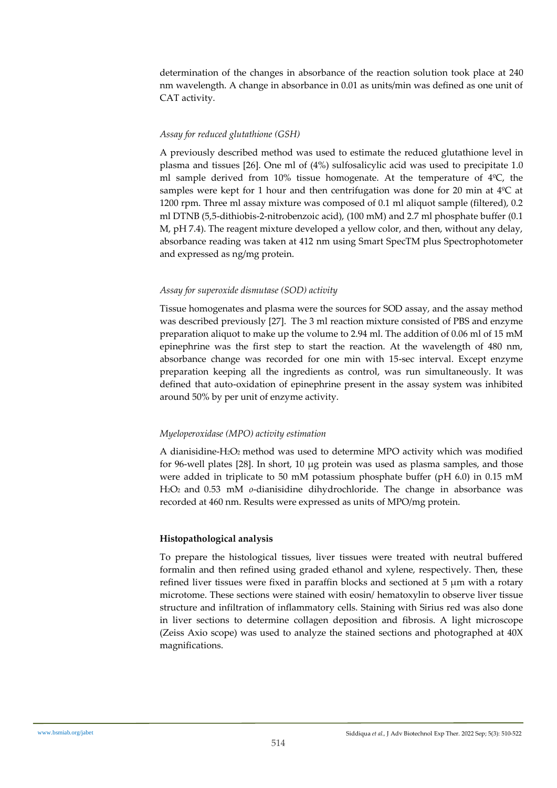determination of the changes in absorbance of the reaction solution took place at 240 nm wavelength. A change in absorbance in 0.01 as units/min was defined as one unit of CAT activity.

## *Assay for reduced glutathione (GSH)*

A previously described method was used to estimate the reduced glutathione level in plasma and tissues [26]. One ml of (4%) sulfosalicylic acid was used to precipitate 1.0 ml sample derived from 10% tissue homogenate. At the temperature of 4ºC, the samples were kept for 1 hour and then centrifugation was done for 20 min at  $4^{\circ}$ C at 1200 rpm. Three ml assay mixture was composed of 0.1 ml aliquot sample (filtered), 0.2 ml DTNB (5,5-dithiobis-2-nitrobenzoic acid), (100 mM) and 2.7 ml phosphate buffer (0.1 M, pH 7.4). The reagent mixture developed a yellow color, and then, without any delay, absorbance reading was taken at 412 nm using Smart SpecTM plus Spectrophotometer and expressed as ng/mg protein.

## *Assay for superoxide dismutase (SOD) activity*

Tissue homogenates and plasma were the sources for SOD assay, and the assay method was described previously [27]. The 3 ml reaction mixture consisted of PBS and enzyme preparation aliquot to make up the volume to 2.94 ml. The addition of 0.06 ml of 15 mM epinephrine was the first step to start the reaction. At the wavelength of 480 nm, absorbance change was recorded for one min with 15-sec interval. Except enzyme preparation keeping all the ingredients as control, was run simultaneously. It was defined that auto-oxidation of epinephrine present in the assay system was inhibited around 50% by per unit of enzyme activity.

## *Myeloperoxidase (MPO) activity estimation*

A dianisidine-H2O<sup>2</sup> method was used to determine MPO activity which was modified for 96-well plates [28]. In short, 10 μg protein was used as plasma samples, and those were added in triplicate to 50 mM potassium phosphate buffer (pH 6.0) in 0.15 mM H2O2 and 0.53 mM *o*-dianisidine dihydrochloride. The change in absorbance was recorded at 460 nm. Results were expressed as units of MPO/mg protein.

## **Histopathological analysis**

To prepare the histological tissues, liver tissues were treated with neutral buffered formalin and then refined using graded ethanol and xylene, respectively. Then, these refined liver tissues were fixed in paraffin blocks and sectioned at  $5 \mu m$  with a rotary microtome. These sections were stained with eosin/ hematoxylin to observe liver tissue structure and infiltration of inflammatory cells. Staining with Sirius red was also done in liver sections to determine collagen deposition and fibrosis. A light microscope (Zeiss Axio scope) was used to analyze the stained sections and photographed at 40X magnifications.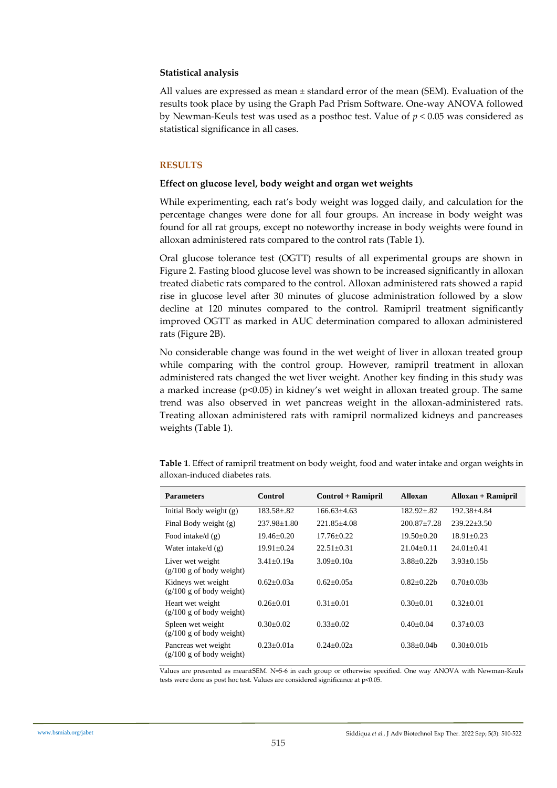## **Statistical analysis**

All values are expressed as mean  $\pm$  standard error of the mean (SEM). Evaluation of the results took place by using the Graph Pad Prism Software. One-way ANOVA followed by Newman-Keuls test was used as a posthoc test. Value of *p* < 0.05 was considered as statistical significance in all cases.

## **RESULTS**

## **Effect on glucose level, body weight and organ wet weights**

While experimenting, each rat's body weight was logged daily, and calculation for the percentage changes were done for all four groups. An increase in body weight was found for all rat groups, except no noteworthy increase in body weights were found in alloxan administered rats compared to the control rats (Table 1).

Oral glucose tolerance test (OGTT) results of all experimental groups are shown in Figure 2. Fasting blood glucose level was shown to be increased significantly in alloxan treated diabetic rats compared to the control. Alloxan administered rats showed a rapid rise in glucose level after 30 minutes of glucose administration followed by a slow decline at 120 minutes compared to the control. Ramipril treatment significantly improved OGTT as marked in AUC determination compared to alloxan administered rats (Figure 2B).

No considerable change was found in the wet weight of liver in alloxan treated group while comparing with the control group. However, ramipril treatment in alloxan administered rats changed the wet liver weight. Another key finding in this study was a marked increase ( $p<0.05$ ) in kidney's wet weight in alloxan treated group. The same trend was also observed in wet pancreas weight in the alloxan-administered rats. Treating alloxan administered rats with ramipril normalized kidneys and pancreases weights (Table 1).

| <b>Parameters</b>                                       | Control           | Control + Ramipril | <b>Alloxan</b>    | $\mathbf{Alloxan} + \mathbf{Ramipril}$ |
|---------------------------------------------------------|-------------------|--------------------|-------------------|----------------------------------------|
| Initial Body weight $(g)$                               | $183.58 \pm .82$  | $166.63\pm4.63$    | $182.92 \pm .82$  | 192.38+4.84                            |
| Final Body weight (g)                                   | $237.98 \pm 1.80$ | $221.85 + 4.08$    | $200.87 + 7.28$   | $239.22 \pm 3.50$                      |
| Food intake/d $(g)$                                     | 19.46+0.20        | $17.76 + 0.22$     | $19.50 + 0.20$    | $18.91 + 0.23$                         |
| Water intake/d $(g)$                                    | 19.91±0.24        | $22.51 \pm 0.31$   | $21.04 \pm 0.11$  | $24.01 \pm 0.41$                       |
| Liver wet weight<br>$(g/100 g$ of body weight)          | $3.41 + 0.19a$    | $3.09 + 0.10a$     | $3.88 + 0.22h$    | $3.93+0.15h$                           |
| Kidneys wet weight<br>$(g/100 g$ of body weight)        | $0.62 + 0.03a$    | $0.62 \pm 0.05a$   | $0.82 \pm 0.22 b$ | $0.70 + 0.03h$                         |
| Heart wet weight<br>$(g/100 g$ of body weight)          | $0.26 + 0.01$     | $0.31 + 0.01$      | $0.30+0.01$       | $0.32+0.01$                            |
| Spleen wet weight<br>$(g/100 g \text{ of body weight})$ | $0.30 \pm 0.02$   | $0.33 \pm 0.02$    | $0.40 \pm 0.04$   | $0.37 \pm 0.03$                        |
| Pancreas wet weight<br>$(g/100 g$ of body weight)       | $0.23 \pm 0.01a$  | $0.24 \pm 0.02a$   | $0.38 \pm 0.04b$  | $0.30 \pm 0.01$                        |

**Table 1**. Effect of ramipril treatment on body weight, food and water intake and organ weights in alloxan-induced diabetes rats.

Values are presented as mean±SEM. N=5-6 in each group or otherwise specified. One way ANOVA with Newman-Keuls tests were done as post hoc test. Values are considered significance at p<0.05.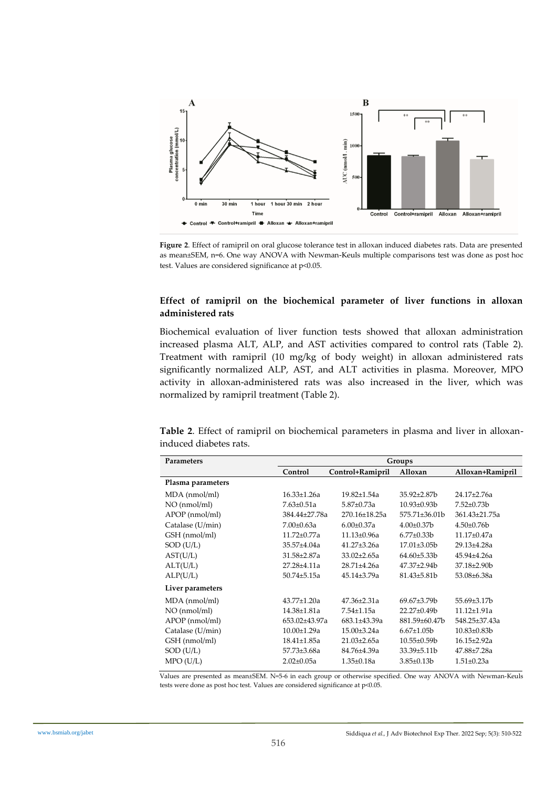

**Figure 2**. Effect of ramipril on oral glucose tolerance test in alloxan induced diabetes rats. Data are presented as mean±SEM, n=6. One way ANOVA with Newman-Keuls multiple comparisons test was done as post hoc test. Values are considered significance at p<0.05.

## **Effect of ramipril on the biochemical parameter of liver functions in alloxan administered rats**

Biochemical evaluation of liver function tests showed that alloxan administration increased plasma ALT, ALP, and AST activities compared to control rats (Table 2). Treatment with ramipril (10 mg/kg of body weight) in alloxan administered rats significantly normalized ALP, AST, and ALT activities in plasma. Moreover, MPO activity in alloxan-administered rats was also increased in the liver, which was normalized by ramipril treatment (Table 2).

**Table 2**. Effect of ramipril on biochemical parameters in plasma and liver in alloxaninduced diabetes rats.

| <b>Parameters</b> | Groups            |                     |                    |                    |
|-------------------|-------------------|---------------------|--------------------|--------------------|
|                   | Control           | Control+Ramipril    | Alloxan            | Alloxan+Ramipril   |
| Plasma parameters |                   |                     |                    |                    |
| MDA (nmol/ml)     | $16.33 \pm 1.26a$ | $19.82{\pm}1.54a$   | $35.92 \pm 2.87$   | 24.17±2.76a        |
| NO (nmol/ml)      | $7.63 \pm 0.51a$  | $5.87 \pm 0.73a$    | $10.93 \pm 0.93 b$ | $7.52 \pm 0.73 b$  |
| APOP (nmol/ml)    | 384.44±27.78a     | 270.16±18.25a       | 575.71±36.01b      | 361.43±21.75a      |
| Catalase (U/min)  | $7.00 \pm 0.63a$  | $6.00 \pm 0.37$ a   | $4.00 \pm 0.37$ b  | $4.50 \pm 0.76$    |
| GSH (nmol/ml)     | $11.72 \pm 0.77a$ | $11.13 \pm 0.96a$   | $6.77 \pm 0.33 b$  | 11.17±0.47a        |
| $SOD$ (U/L)       | 35.57±4.04a       | $41.27 \pm 3.26a$   | $17.01\pm3.05b$    | 29.13±4.28a        |
| AST(U/L)          | 31.58±2.87a       | $33.02 \pm 2.65a$   | $64.60\pm5.33b$    | 45.94±4.26a        |
| ALT(U/L)          | 27.28±4.11a       | 28.71±4.26a         | 47.37±2.94b        | $37.18 \pm 2.90 b$ |
| ALP(U/L)          | 50.74±5.15a       | $45.14{\pm}3.79a$   | 81.43±5.81b        | 53.08±6.38a        |
| Liver parameters  |                   |                     |                    |                    |
| MDA (nmol/ml)     | 43.77±1.20a       | $47.36 \pm 2.31a$   | $69.67 \pm 3.79 b$ | $55.69{\pm}3.17b$  |
| NO (nmol/ml)      | 14.38±1.81a       | 7.54±1.15a          | $22.27 \pm 0.49$   | 11.12±1.91a        |
| APOP (nmol/ml)    | 653.02±43.97a     | $683.1 \pm 43.39$ a | 881.59±60.47b      | 548.25±37.43a      |
| Catalase (U/min)  | $10.00 \pm 1.29a$ | $15.00 \pm 3.24$ a  | $6.67 \pm 1.05 b$  | $10.83 \pm 0.83 b$ |
| GSH (nmol/ml)     | 18.41±1.85a       | $21.03 \pm 2.65a$   | $10.55 \pm 0.59$ b | $16.15 \pm 2.92a$  |
| SOD (U/L)         | 57.73±3.68a       | 84.76±4.39a         | 33.39±5.11b        | 47.88±7.28a        |
| MPO(U/L)          | $2.02 \pm 0.05a$  | $1.35 \pm 0.18a$    | $3.85 \pm 0.13 b$  | $1.51 \pm 0.23a$   |

Values are presented as mean±SEM. N=5-6 in each group or otherwise specified. One way ANOVA with Newman-Keuls tests were done as post hoc test. Values are considered significance at  $p<0.05$ .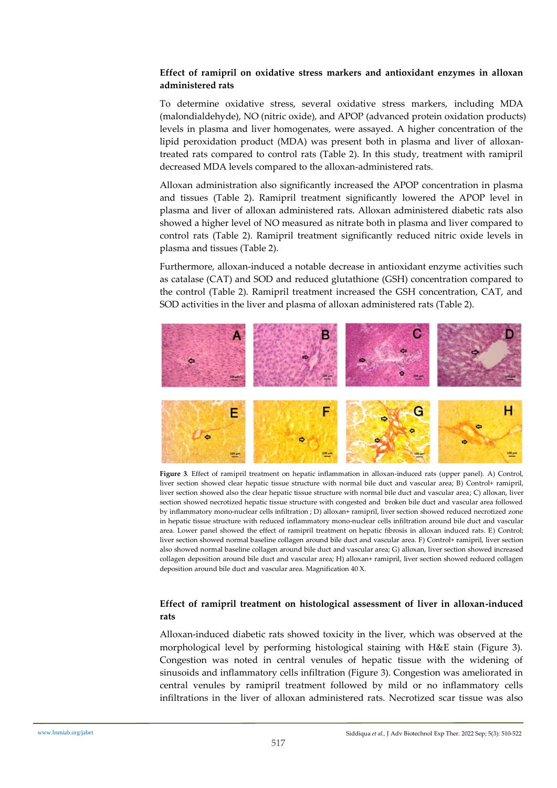# **Effect of ramipril on oxidative stress markers and antioxidant enzymes in alloxan administered rats**

To determine oxidative stress, several oxidative stress markers, including MDA (malondialdehyde), NO (nitric oxide), and APOP (advanced protein oxidation products) levels in plasma and liver homogenates, were assayed. A higher concentration of the lipid peroxidation product (MDA) was present both in plasma and liver of alloxantreated rats compared to control rats (Table 2). In this study, treatment with ramipril decreased MDA levels compared to the alloxan-administered rats.

Alloxan administration also significantly increased the APOP concentration in plasma and tissues (Table 2). Ramipril treatment significantly lowered the APOP level in plasma and liver of alloxan administered rats. Alloxan administered diabetic rats also showed a higher level of NO measured as nitrate both in plasma and liver compared to control rats (Table 2). Ramipril treatment significantly reduced nitric oxide levels in plasma and tissues (Table 2).

Furthermore, alloxan-induced a notable decrease in antioxidant enzyme activities such as catalase (CAT) and SOD and reduced glutathione (GSH) concentration compared to the control (Table 2). Ramipril treatment increased the GSH concentration, CAT, and SOD activities in the liver and plasma of alloxan administered rats (Table 2).



**Figure 3**. Effect of ramipril treatment on hepatic inflammation in alloxan-induced rats (upper panel). A) Control, liver section showed clear hepatic tissue structure with normal bile duct and vascular area; B) Control+ ramipril, liver section showed also the clear hepatic tissue structure with normal bile duct and vascular area; C) alloxan, liver section showed necrotized hepatic tissue structure with congested and broken bile duct and vascular area followed by inflammatory mono-nuclear cells infiltration ; D) alloxan+ ramipril, liver section showed reduced necrotized zone in hepatic tissue structure with reduced inflammatory mono-nuclear cells infiltration around bile duct and vascular area. Lower panel showed the effect of ramipril treatment on hepatic fibrosis in alloxan induced rats. E) Control; liver section showed normal baseline collagen around bile duct and vascular area. F) Control+ ramipril, liver section also showed normal baseline collagen around bile duct and vascular area; G) alloxan, liver section showed increased collagen deposition around bile duct and vascular area; H) alloxan+ ramipril, liver section showed reduced collagen deposition around bile duct and vascular area. Magnification 40 X.

# **Effect of ramipril treatment on histological assessment of liver in alloxan-induced rats**

Alloxan-induced diabetic rats showed toxicity in the liver, which was observed at the morphological level by performing histological staining with H&E stain (Figure 3). Congestion was noted in central venules of hepatic tissue with the widening of sinusoids and inflammatory cells infiltration (Figure 3). Congestion was ameliorated in central venules by ramipril treatment followed by mild or no inflammatory cells infiltrations in the liver of alloxan administered rats. Necrotized scar tissue was also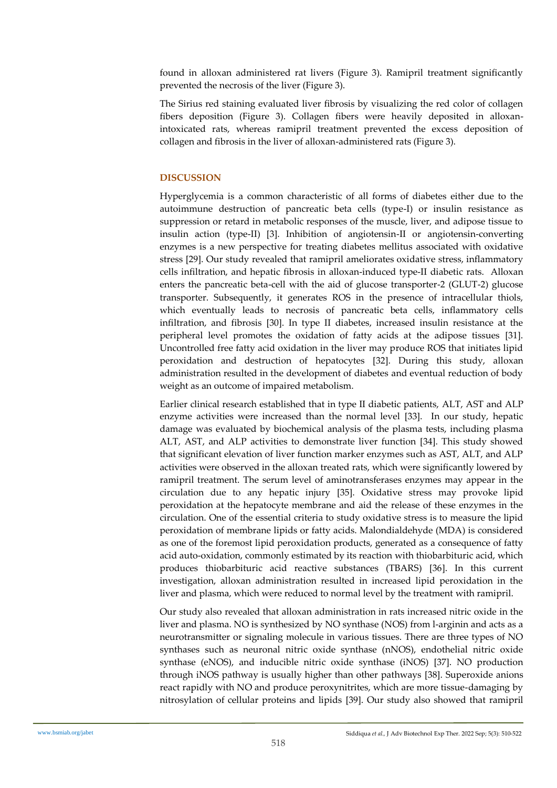found in alloxan administered rat livers (Figure 3). Ramipril treatment significantly prevented the necrosis of the liver (Figure 3).

The Sirius red staining evaluated liver fibrosis by visualizing the red color of collagen fibers deposition (Figure 3). Collagen fibers were heavily deposited in alloxanintoxicated rats, whereas ramipril treatment prevented the excess deposition of collagen and fibrosis in the liver of alloxan-administered rats (Figure 3).

# **DISCUSSION**

Hyperglycemia is a common characteristic of all forms of diabetes either due to the autoimmune destruction of pancreatic beta cells (type-I) or insulin resistance as suppression or retard in metabolic responses of the muscle, liver, and adipose tissue to insulin action (type-II) [3]. Inhibition of angiotensin-II or angiotensin-converting enzymes is a new perspective for treating diabetes mellitus associated with oxidative stress [29]. Our study revealed that ramipril ameliorates oxidative stress, inflammatory cells infiltration, and hepatic fibrosis in alloxan-induced type-II diabetic rats. Alloxan enters the pancreatic beta-cell with the aid of glucose transporter-2 (GLUT-2) glucose transporter. Subsequently, it generates ROS in the presence of intracellular thiols, which eventually leads to necrosis of pancreatic beta cells, inflammatory cells infiltration, and fibrosis [30]. In type II diabetes, increased insulin resistance at the peripheral level promotes the oxidation of fatty acids at the adipose tissues [31]. Uncontrolled free fatty acid oxidation in the liver may produce ROS that initiates lipid peroxidation and destruction of hepatocytes [32]. During this study, alloxan administration resulted in the development of diabetes and eventual reduction of body weight as an outcome of impaired metabolism.

Earlier clinical research established that in type II diabetic patients, ALT, AST and ALP enzyme activities were increased than the normal level [33]. In our study, hepatic damage was evaluated by biochemical analysis of the plasma tests, including plasma ALT, AST, and ALP activities to demonstrate liver function [34]. This study showed that significant elevation of liver function marker enzymes such as AST, ALT, and ALP activities were observed in the alloxan treated rats, which were significantly lowered by ramipril treatment. The serum level of aminotransferases enzymes may appear in the circulation due to any hepatic injury [35]. Oxidative stress may provoke lipid peroxidation at the hepatocyte membrane and aid the release of these enzymes in the circulation. One of the essential criteria to study oxidative stress is to measure the lipid peroxidation of membrane lipids or fatty acids. Malondialdehyde (MDA) is considered as one of the foremost lipid peroxidation products, generated as a consequence of fatty acid auto-oxidation, commonly estimated by its reaction with thiobarbituric acid, which produces thiobarbituric acid reactive substances (TBARS) [36]. In this current investigation, alloxan administration resulted in increased lipid peroxidation in the liver and plasma, which were reduced to normal level by the treatment with ramipril.

Our study also revealed that alloxan administration in rats increased nitric oxide in the liver and plasma. NO is synthesized by NO synthase (NOS) from l-arginin and acts as a neurotransmitter or signaling molecule in various tissues. There are three types of NO synthases such as neuronal nitric oxide synthase (nNOS), endothelial nitric oxide synthase (eNOS), and inducible nitric oxide synthase (iNOS) [37]. NO production through iNOS pathway is usually higher than other pathways [38]. Superoxide anions react rapidly with NO and produce peroxynitrites, which are more tissue-damaging by nitrosylation of cellular proteins and lipids [39]. Our study also showed that ramipril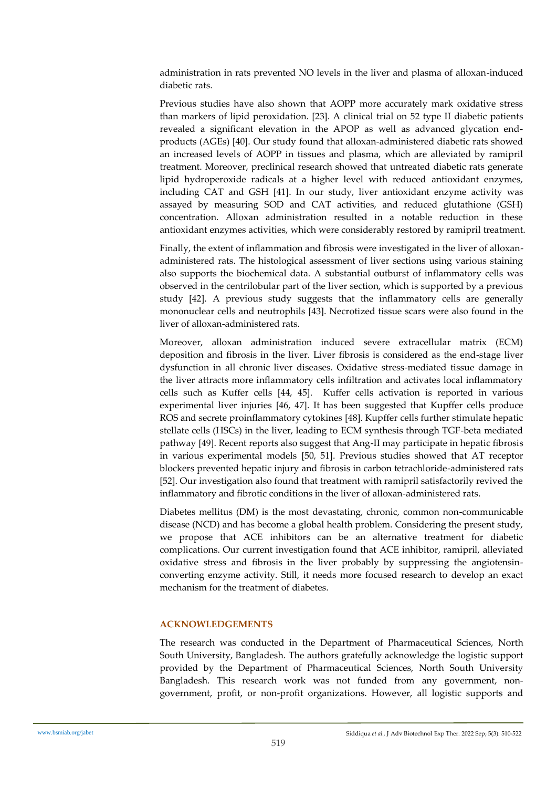administration in rats prevented NO levels in the liver and plasma of alloxan-induced diabetic rats.

Previous studies have also shown that AOPP more accurately mark oxidative stress than markers of lipid peroxidation. [23]. A clinical trial on 52 type II diabetic patients revealed a significant elevation in the APOP as well as advanced glycation endproducts (AGEs) [40]. Our study found that alloxan-administered diabetic rats showed an increased levels of AOPP in tissues and plasma, which are alleviated by ramipril treatment. Moreover, preclinical research showed that untreated diabetic rats generate lipid hydroperoxide radicals at a higher level with reduced antioxidant enzymes, including CAT and GSH [41]. In our study, liver antioxidant enzyme activity was assayed by measuring SOD and CAT activities, and reduced glutathione (GSH) concentration. Alloxan administration resulted in a notable reduction in these antioxidant enzymes activities, which were considerably restored by ramipril treatment.

Finally, the extent of inflammation and fibrosis were investigated in the liver of alloxanadministered rats. The histological assessment of liver sections using various staining also supports the biochemical data. A substantial outburst of inflammatory cells was observed in the centrilobular part of the liver section, which is supported by a previous study [42]. A previous study suggests that the inflammatory cells are generally mononuclear cells and neutrophils [43]. Necrotized tissue scars were also found in the liver of alloxan-administered rats.

Moreover, alloxan administration induced severe extracellular matrix (ECM) deposition and fibrosis in the liver. Liver fibrosis is considered as the end-stage liver dysfunction in all chronic liver diseases. Oxidative stress-mediated tissue damage in the liver attracts more inflammatory cells infiltration and activates local inflammatory cells such as Kuffer cells [44, 45]. Kuffer cells activation is reported in various experimental liver injuries [46, 47]. It has been suggested that Kupffer cells produce ROS and secrete proinflammatory cytokines [48]. Kupffer cells further stimulate hepatic stellate cells (HSCs) in the liver, leading to ECM synthesis through TGF-beta mediated pathway [49]. Recent reports also suggest that Ang-II may participate in hepatic fibrosis in various experimental models [50, 51]. Previous studies showed that AT receptor blockers prevented hepatic injury and fibrosis in carbon tetrachloride-administered rats [52]. Our investigation also found that treatment with ramipril satisfactorily revived the inflammatory and fibrotic conditions in the liver of alloxan-administered rats.

Diabetes mellitus (DM) is the most devastating, chronic, common non-communicable disease (NCD) and has become a global health problem. Considering the present study, we propose that ACE inhibitors can be an alternative treatment for diabetic complications. Our current investigation found that ACE inhibitor, ramipril, alleviated oxidative stress and fibrosis in the liver probably by suppressing the angiotensinconverting enzyme activity. Still, it needs more focused research to develop an exact mechanism for the treatment of diabetes.

## **ACKNOWLEDGEMENTS**

The research was conducted in the Department of Pharmaceutical Sciences, North South University, Bangladesh. The authors gratefully acknowledge the logistic support provided by the Department of Pharmaceutical Sciences, North South University Bangladesh. This research work was not funded from any government, nongovernment, profit, or non-profit organizations. However, all logistic supports and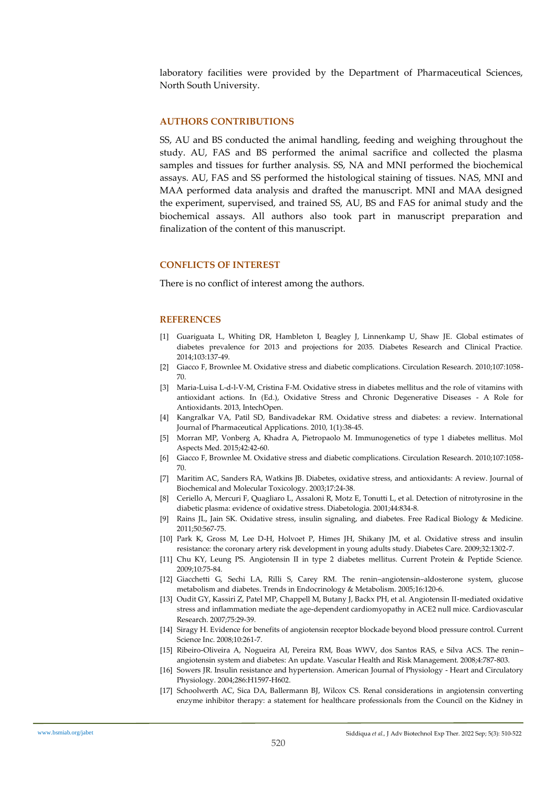laboratory facilities were provided by the Department of Pharmaceutical Sciences, North South University.

## **AUTHORS CONTRIBUTIONS**

SS, AU and BS conducted the animal handling, feeding and weighing throughout the study. AU, FAS and BS performed the animal sacrifice and collected the plasma samples and tissues for further analysis. SS, NA and MNI performed the biochemical assays. AU, FAS and SS performed the histological staining of tissues. NAS, MNI and MAA performed data analysis and drafted the manuscript. MNI and MAA designed the experiment, supervised, and trained SS, AU, BS and FAS for animal study and the biochemical assays. All authors also took part in manuscript preparation and finalization of the content of this manuscript.

#### **CONFLICTS OF INTEREST**

There is no conflict of interest among the authors.

#### **REFERENCES**

- [1] Guariguata L, Whiting DR, Hambleton I, Beagley J, Linnenkamp U, Shaw JE. Global estimates of diabetes prevalence for 2013 and projections for 2035. Diabetes Research and Clinical Practice. 2014;103:137-49.
- [2] Giacco F, Brownlee M. Oxidative stress and diabetic complications. Circulation Research. 2010;107:1058- 70.
- [3] Maria-Luisa L-d-l-V-M, Cristina F-M. Oxidative stress in diabetes mellitus and the role of vitamins with antioxidant actions. In (Ed.), Oxidative Stress and Chronic Degenerative Diseases - A Role for Antioxidants. 2013, IntechOpen.
- [4] Kangralkar VA, Patil SD, Bandivadekar RM. Oxidative stress and diabetes: a review. International Journal of Pharmaceutical Applications. 2010, 1(1):38-45.
- [5] Morran MP, Vonberg A, Khadra A, Pietropaolo M. Immunogenetics of type 1 diabetes mellitus. Mol Aspects Med. 2015;42:42-60.
- [6] Giacco F, Brownlee M. Oxidative stress and diabetic complications. Circulation Research. 2010;107:1058- 70.
- [7] Maritim AC, Sanders RA, Watkins JB. Diabetes, oxidative stress, and antioxidants: A review. Journal of Biochemical and Molecular Toxicology. 2003;17:24-38.
- [8] Ceriello A, Mercuri F, Quagliaro L, Assaloni R, Motz E, Tonutti L, et al. Detection of nitrotyrosine in the diabetic plasma: evidence of oxidative stress. Diabetologia. 2001;44:834-8.
- [9] Rains JL, Jain SK. Oxidative stress, insulin signaling, and diabetes. Free Radical Biology & Medicine. 2011;50:567-75.
- [10] Park K, Gross M, Lee D-H, Holvoet P, Himes JH, Shikany JM, et al. Oxidative stress and insulin resistance: the coronary artery risk development in young adults study. Diabetes Care. 2009;32:1302-7.
- [11] Chu KY, Leung PS. Angiotensin II in type 2 diabetes mellitus. Current Protein & Peptide Science. 2009;10:75-84.
- [12] Giacchetti G, Sechi LA, Rilli S, Carey RM. The renin–angiotensin–aldosterone system, glucose metabolism and diabetes. Trends in Endocrinology & Metabolism. 2005;16:120-6.
- [13] Oudit GY, Kassiri Z, Patel MP, Chappell M, Butany J, Backx PH, et al. Angiotensin II-mediated oxidative stress and inflammation mediate the age-dependent cardiomyopathy in ACE2 null mice. Cardiovascular Research. 2007;75:29-39.
- [14] Siragy H. Evidence for benefits of angiotensin receptor blockade beyond blood pressure control. Current Science Inc. 2008;10:261-7.
- [15] Ribeiro-Oliveira A, Nogueira AI, Pereira RM, Boas WWV, dos Santos RAS, e Silva ACS. The renin– angiotensin system and diabetes: An update. Vascular Health and Risk Management. 2008;4:787-803.
- [16] Sowers JR. Insulin resistance and hypertension. American Journal of Physiology Heart and Circulatory Physiology. 2004;286:H1597-H602.
- [17] Schoolwerth AC, Sica DA, Ballermann BJ, Wilcox CS. Renal considerations in angiotensin converting enzyme inhibitor therapy: a statement for healthcare professionals from the Council on the Kidney in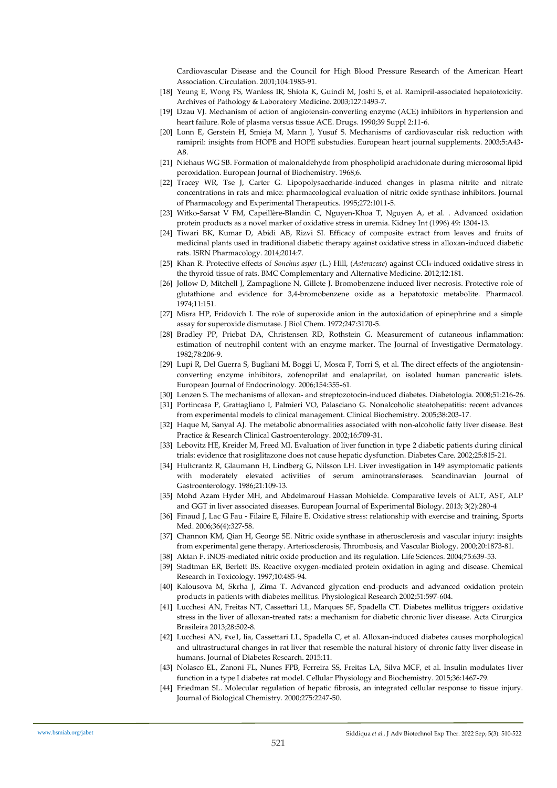Cardiovascular Disease and the Council for High Blood Pressure Research of the American Heart Association. Circulation. 2001;104:1985-91.

- [18] Yeung E, Wong FS, Wanless IR, Shiota K, Guindi M, Joshi S, et al. Ramipril-associated hepatotoxicity. Archives of Pathology & Laboratory Medicine. 2003;127:1493-7.
- [19] Dzau VJ. Mechanism of action of angiotensin-converting enzyme (ACE) inhibitors in hypertension and heart failure. Role of plasma versus tissue ACE. Drugs. 1990;39 Suppl 2:11-6.
- [20] Lonn E, Gerstein H, Smieja M, Mann J, Yusuf S. Mechanisms of cardiovascular risk reduction with ramipril: insights from HOPE and HOPE substudies. European heart journal supplements. 2003;5:A43- A8.
- [21] Niehaus WG SB. Formation of malonaldehyde from phospholipid arachidonate during microsomal lipid peroxidation. European Journal of Biochemistry. 1968;6.
- [22] Tracey WR, Tse J, Carter G. Lipopolysaccharide-induced changes in plasma nitrite and nitrate concentrations in rats and mice: pharmacological evaluation of nitric oxide synthase inhibitors. Journal of Pharmacology and Experimental Therapeutics. 1995;272:1011-5.
- [23] Witko-Sarsat V FM, Capeillère-Blandin C, Nguyen-Khoa T, Nguyen A, et al. . Advanced oxidation protein products as a novel marker of oxidative stress in uremia. Kidney Int (1996) 49: 1304-13.
- [24] Tiwari BK, Kumar D, Abidi AB, Rizvi SI. Efficacy of composite extract from leaves and fruits of medicinal plants used in traditional diabetic therapy against oxidative stress in alloxan-induced diabetic rats. ISRN Pharmacology. 2014;2014:7.
- [25] Khan R. Protective effects of *Sonchus asper* (L.) Hill, (*Asteraceae*) against CCl4-induced oxidative stress in the thyroid tissue of rats. BMC Complementary and Alternative Medicine. 2012;12:181.
- [26] Jollow D, Mitchell J, Zampaglione N, Gillete J. Bromobenzene induced liver necrosis. Protective role of glutathione and evidence for 3,4-bromobenzene oxide as a hepatotoxic metabolite. Pharmacol. 1974;11:151.
- [27] Misra HP, Fridovich I. The role of superoxide anion in the autoxidation of epinephrine and a simple assay for superoxide dismutase. J Biol Chem. 1972;247:3170-5.
- [28] Bradley PP, Priebat DA, Christensen RD, Rothstein G. Measurement of cutaneous inflammation: estimation of neutrophil content with an enzyme marker. The Journal of Investigative Dermatology. 1982;78:206-9.
- [29] Lupi R, Del Guerra S, Bugliani M, Boggi U, Mosca F, Torri S, et al. The direct effects of the angiotensinconverting enzyme inhibitors, zofenoprilat and enalaprilat, on isolated human pancreatic islets. European Journal of Endocrinology. 2006;154:355-61.
- [30] Lenzen S. The mechanisms of alloxan- and streptozotocin-induced diabetes. Diabetologia. 2008;51:216-26.
- [31] Portincasa P, Grattagliano I, Palmieri VO, Palasciano G. Nonalcoholic steatohepatitis: recent advances from experimental models to clinical management. Clinical Biochemistry. 2005;38:203-17.
- [32] Haque M, Sanyal AJ. The metabolic abnormalities associated with non-alcoholic fatty liver disease. Best Practice & Research Clinical Gastroenterology. 2002;16:709-31.
- [33] Lebovitz HE, Kreider M, Freed MI. Evaluation of liver function in type 2 diabetic patients during clinical trials: evidence that rosiglitazone does not cause hepatic dysfunction. Diabetes Care. 2002;25:815-21.
- [34] Hultcrantz R, Glaumann H, Lindberg G, Nilsson LH. Liver investigation in 149 asymptomatic patients with moderately elevated activities of serum aminotransferases. Scandinavian Journal of Gastroenterology. 1986;21:109-13.
- [35] Mohd Azam Hyder MH, and Abdelmarouf Hassan Mohielde. Comparative levels of ALT, AST, ALP and GGT in liver associated diseases. European Journal of Experimental Biology. 2013; 3(2):280-4
- [36] Finaud J, Lac G Fau Filaire E, Filaire E. Oxidative stress: relationship with exercise and training, Sports Med. 2006;36(4):327-58.
- [37] Channon KM, Qian H, George SE. Nitric oxide synthase in atherosclerosis and vascular injury: insights from experimental gene therapy. Arteriosclerosis, Thrombosis, and Vascular Biology. 2000;20:1873-81.
- [38] Aktan F. iNOS-mediated nitric oxide production and its regulation. Life Sciences. 2004;75:639-53.
- [39] Stadtman ER, Berlett BS. Reactive oxygen-mediated protein oxidation in aging and disease. Chemical Research in Toxicology. 1997;10:485-94.
- [40] Kalousova M, Skrha J, Zima T. Advanced glycation end-products and advanced oxidation protein products in patients with diabetes mellitus. Physiological Research 2002;51:597-604.
- [41] Lucchesi AN, Freitas NT, Cassettari LL, Marques SF, Spadella CT. Diabetes mellitus triggers oxidative stress in the liver of alloxan-treated rats: a mechanism for diabetic chronic liver disease. Acta Cirurgica Brasileira 2013;28:502-8.
- [42] Lucchesi AN, #xe1, lia, Cassettari LL, Spadella C, et al. Alloxan-induced diabetes causes morphological and ultrastructural changes in rat liver that resemble the natural history of chronic fatty liver disease in humans. Journal of Diabetes Research. 2015:11.
- [43] Nolasco EL, Zanoni FL, Nunes FPB, Ferreira SS, Freitas LA, Silva MCF, et al. Insulin modulates liver function in a type I diabetes rat model. Cellular Physiology and Biochemistry. 2015;36:1467-79.
- [44] Friedman SL. Molecular regulation of hepatic fibrosis, an integrated cellular response to tissue injury. Journal of Biological Chemistry. 2000;275:2247-50.